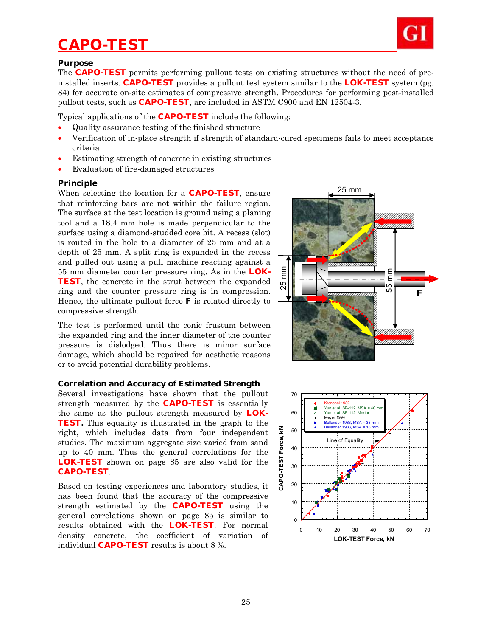# *CAPO-TEST*



#### **Purpose**

The **CAPO-TEST** permits performing pullout tests on existing structures without the need of preinstalled inserts. **CAPO-TEST** provides a pullout test system similar to the **LOK-TEST** system (pg. 84) for accurate on-site estimates of compressive strength. Procedures for performing post-installed pullout tests, such as **CAPO-TEST**, are included in ASTM C900 and EN 12504-3.

Typical applications of the **CAPO-TEST** include the following:

- Quality assurance testing of the finished structure
- Verification of in-place strength if strength of standard-cured specimens fails to meet acceptance criteria
- Estimating strength of concrete in existing structures
- Evaluation of fire-damaged structures

## **Principle**

When selecting the location for a **CAPO-TEST**, ensure that reinforcing bars are not within the failure region. The surface at the test location is ground using a planing tool and a 18.4 mm hole is made perpendicular to the surface using a diamond-studded core bit. A recess (slot) is routed in the hole to a diameter of 25 mm and at a depth of 25 mm. A split ring is expanded in the recess and pulled out using a pull machine reacting against a 55 mm diameter counter pressure ring. As in the **LOK-TEST**, the concrete in the strut between the expanded ring and the counter pressure ring is in compression. Hence, the ultimate pullout force **F** is related directly to compressive strength.

The test is performed until the conic frustum between the expanded ring and the inner diameter of the counter pressure is dislodged. Thus there is minor surface damage, which should be repaired for aesthetic reasons or to avoid potential durability problems.

### **Correlation and Accuracy of Estimated Strength**

Several investigations have shown that the pullout strength measured by the **CAPO-TEST** is essentially the same as the pullout strength measured by **LOK-TEST.** This equality is illustrated in the graph to the right, which includes data from four independent studies. The maximum aggregate size varied from sand up to 40 mm. Thus the general correlations for the **LOK-TEST** shown on page 85 are also valid for the **CAPO-TEST**.

Based on testing experiences and laboratory studies, it has been found that the accuracy of the compressive strength estimated by the **CAPO-TEST** using the general correlations shown on page 85 is similar to results obtained with the **LOK-TEST**. For normal density concrete, the coefficient of variation of individual **CAPO-TEST** results is about 8 %.



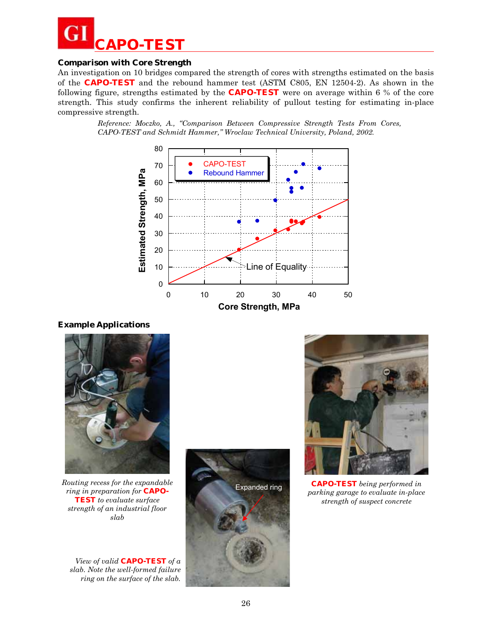

## **Comparison with Core Strength**

An investigation on 10 bridges compared the strength of cores with strengths estimated on the basis of the **CAPO-TEST** and the rebound hammer test (ASTM C805, EN 12504-2). As shown in the following figure, strengths estimated by the **CAPO-TEST** were on average within 6 % of the core strength. This study confirms the inherent reliability of pullout testing for estimating in-place compressive strength.

> *Reference: Moczko, A., "Comparison Between Compressive Strength Tests From Cores, CAPO-TEST and Schmidt Hammer," Wroclaw Technical University, Poland, 2002.*



### **Example Applications**



*Routing recess for the expandable ring in preparation for* **CAPO-TEST** *to evaluate surface strength of an industrial floor slab* 

*View of valid* **CAPO-TEST** *of a slab. Note the well-formed failure ring on the surface of the slab.*





**CAPO-TEST** *being performed in parking garage to evaluate in-place strength of suspect concrete*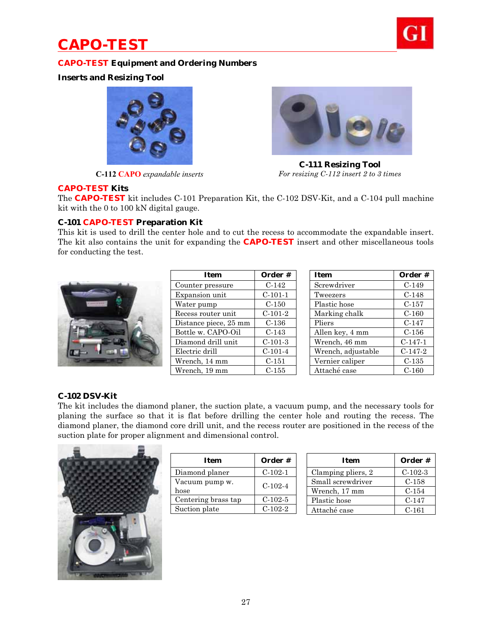# *CAPO-TEST*



# **CAPO-TEST Equipment and Ordering Numbers**

**Inserts and Resizing Tool** 



**C-112 CAPO** *expandable inserts*



**C-111 Resizing Tool**  *For resizing C-112 insert 2 to 3 times* 

## **CAPO-TEST Kits**

The **CAPO-TEST** kit includes C-101 Preparation Kit, the C-102 DSV-Kit, and a C-104 pull machine kit with the 0 to 100 kN digital gauge.

## **C-101 CAPO-TEST Preparation Kit**

This kit is used to drill the center hole and to cut the recess to accommodate the expandable insert. The kit also contains the unit for expanding the **CAPO-TEST** insert and other miscellaneous tools for conducting the test.



| Order #   |
|-----------|
| $C-142$   |
| $C-101-1$ |
| $C-150$   |
| $C-101-2$ |
| $C-136$   |
| $C-143$   |
| $C-101-3$ |
| $C-101-4$ |
| $C-151$   |
| $C-155$   |
|           |

| <b>Item</b>        | Order #   |
|--------------------|-----------|
| Screwdriver        | $C-149$   |
| Tweezers           | $C-148$   |
| Plastic hose       | C-157     |
| Marking chalk      | $C-160$   |
| Pliers             | $C-147$   |
| Allen key, 4 mm    | $C-156$   |
| Wrench, 46 mm      | $C-147-1$ |
| Wrench, adjustable | $C-147-2$ |
| Vernier caliper    | $C-135$   |
| Attaché case       | $C-160$   |

### **C-102 DSV-Kit**

The kit includes the diamond planer, the suction plate, a vacuum pump, and the necessary tools for planing the surface so that it is flat before drilling the center hole and routing the recess. The diamond planer, the diamond core drill unit, and the recess router are positioned in the recess of the suction plate for proper alignment and dimensional control.



| Item                   | Order #   |
|------------------------|-----------|
| Diamond planer         | $C-102-1$ |
| Vacuum pump w.<br>hose | $C-102-4$ |
| Centering brass tap    | $C-102-5$ |
| Suction plate          | $C-102-2$ |
|                        |           |

| Item               | Order #   |
|--------------------|-----------|
| Clamping pliers, 2 | $C-102-3$ |
| Small screwdriver  | $C-158$   |
| Wrench, 17 mm      | $C-154$   |
| Plastic hose       | $C-147$   |
| Attaché case       | $C-161$   |